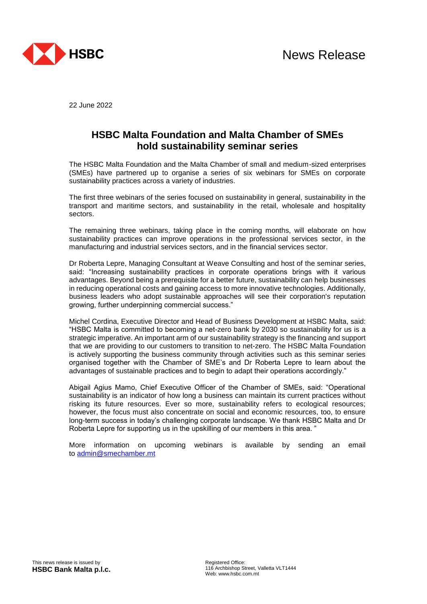

22 June 2022

## **HSBC Malta Foundation and Malta Chamber of SMEs hold sustainability seminar series**

The HSBC Malta Foundation and the Malta Chamber of small and medium-sized enterprises (SMEs) have partnered up to organise a series of six webinars for SMEs on corporate sustainability practices across a variety of industries.

The first three webinars of the series focused on sustainability in general, sustainability in the transport and maritime sectors, and sustainability in the retail, wholesale and hospitality sectors.

The remaining three webinars, taking place in the coming months, will elaborate on how sustainability practices can improve operations in the professional services sector, in the manufacturing and industrial services sectors, and in the financial services sector.

Dr Roberta Lepre, Managing Consultant at Weave Consulting and host of the seminar series, said: "Increasing sustainability practices in corporate operations brings with it various advantages. Beyond being a prerequisite for a better future, sustainability can help businesses in reducing operational costs and gaining access to more innovative technologies. Additionally, business leaders who adopt sustainable approaches will see their corporation's reputation growing, further underpinning commercial success."

Michel Cordina, Executive Director and Head of Business Development at HSBC Malta, said: "HSBC Malta is committed to becoming a net-zero bank by 2030 so sustainability for us is a strategic imperative. An important arm of our sustainability strategy is the financing and support that we are providing to our customers to transition to net-zero. The HSBC Malta Foundation is actively supporting the business community through activities such as this seminar series organised together with the Chamber of SME's and Dr Roberta Lepre to learn about the advantages of sustainable practices and to begin to adapt their operations accordingly."

Abigail Agius Mamo, Chief Executive Officer of the Chamber of SMEs, said: "Operational sustainability is an indicator of how long a business can maintain its current practices without risking its future resources. Ever so more, sustainability refers to ecological resources; however, the focus must also concentrate on social and economic resources, too, to ensure long-term success in today's challenging corporate landscape. We thank HSBC Malta and Dr Roberta Lepre for supporting us in the upskilling of our members in this area. "

More information on upcoming webinars is available by sending an email to [admin@smechamber.mt](mailto:admin@smechamber.mt)